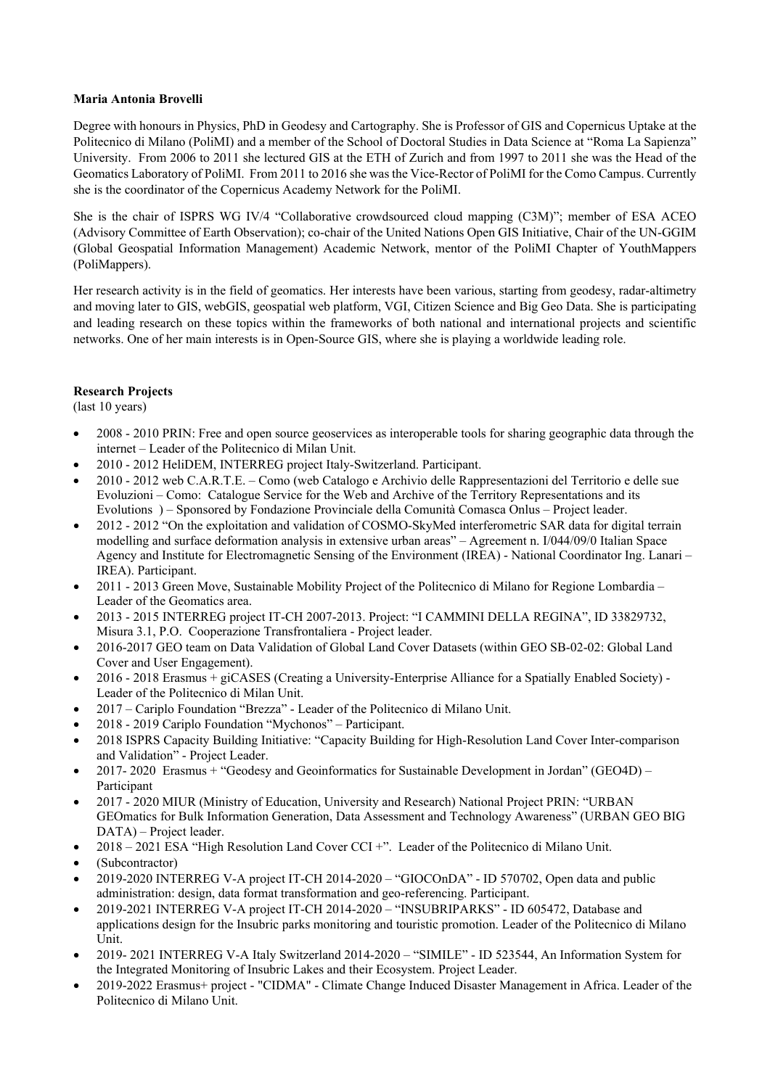# **Maria Antonia Brovelli**

Degree with honours in Physics, PhD in Geodesy and Cartography. She is Professor of GIS and Copernicus Uptake at the Politecnico di Milano (PoliMI) and a member of the School of Doctoral Studies in Data Science at "Roma La Sapienza" University. From 2006 to 2011 she lectured GIS at the ETH of Zurich and from 1997 to 2011 she was the Head of the Geomatics Laboratory of PoliMI. From 2011 to 2016 she was the Vice-Rector of PoliMI for the Como Campus. Currently she is the coordinator of the Copernicus Academy Network for the PoliMI.

She is the chair of ISPRS WG IV/4 "Collaborative crowdsourced cloud mapping (C3M)"; member of ESA ACEO (Advisory Committee of Earth Observation); co-chair of the United Nations Open GIS Initiative, Chair of the UN-GGIM (Global Geospatial Information Management) Academic Network, mentor of the PoliMI Chapter of YouthMappers (PoliMappers).

Her research activity is in the field of geomatics. Her interests have been various, starting from geodesy, radar-altimetry and moving later to GIS, webGIS, geospatial web platform, VGI, Citizen Science and Big Geo Data. She is participating and leading research on these topics within the frameworks of both national and international projects and scientific networks. One of her main interests is in Open-Source GIS, where she is playing a worldwide leading role.

# **Research Projects**

(last 10 years)

- 2008 2010 PRIN: Free and open source geoservices as interoperable tools for sharing geographic data through the internet – Leader of the Politecnico di Milan Unit.
- 2010 2012 HeliDEM, INTERREG project Italy-Switzerland. Participant.
- 2010 2012 web C.A.R.T.E. Como (web Catalogo e Archivio delle Rappresentazioni del Territorio e delle sue Evoluzioni – Como: Catalogue Service for the Web and Archive of the Territory Representations and its Evolutions ) – Sponsored by Fondazione Provinciale della Comunità Comasca Onlus – Project leader.
- 2012 2012 "On the exploitation and validation of COSMO-SkyMed interferometric SAR data for digital terrain modelling and surface deformation analysis in extensive urban areas" – Agreement n. I/044/09/0 Italian Space Agency and Institute for Electromagnetic Sensing of the Environment (IREA) - National Coordinator Ing. Lanari – IREA). Participant.
- 2011 2013 Green Move, Sustainable Mobility Project of the Politecnico di Milano for Regione Lombardia Leader of the Geomatics area.
- 2013 2015 INTERREG project IT-CH 2007-2013. Project: "I CAMMINI DELLA REGINA", ID 33829732, Misura 3.1, P.O. Cooperazione Transfrontaliera - Project leader.
- 2016-2017 GEO team on Data Validation of Global Land Cover Datasets (within GEO SB-02-02: Global Land Cover and User Engagement).
- 2016 2018 Erasmus + giCASES (Creating a University-Enterprise Alliance for a Spatially Enabled Society) Leader of the Politecnico di Milan Unit.
- 2017 Cariplo Foundation "Brezza" Leader of the Politecnico di Milano Unit.
- 2018 2019 Cariplo Foundation "Mychonos" Participant.
- 2018 ISPRS Capacity Building Initiative: "Capacity Building for High-Resolution Land Cover Inter-comparison and Validation" - Project Leader.
- 2017-2020 Erasmus + "Geodesy and Geoinformatics for Sustainable Development in Jordan" (GEO4D) Participant
- 2017 2020 MIUR (Ministry of Education, University and Research) National Project PRIN: "URBAN GEOmatics for Bulk Information Generation, Data Assessment and Technology Awareness" (URBAN GEO BIG DATA) – Project leader.
- 2018 2021 ESA "High Resolution Land Cover CCI +". Leader of the Politecnico di Milano Unit.
- (Subcontractor)
- 2019-2020 INTERREG V-A project IT-CH 2014-2020 "GIOCOnDA" ID 570702, Open data and public administration: design, data format transformation and geo-referencing. Participant.
- 2019-2021 INTERREG V-A project IT-CH 2014-2020 "INSUBRIPARKS" ID 605472, Database and applications design for the Insubric parks monitoring and touristic promotion. Leader of the Politecnico di Milano Unit.
- 2019- 2021 INTERREG V-A Italy Switzerland 2014-2020 "SIMILE" ID 523544, An Information System for the Integrated Monitoring of Insubric Lakes and their Ecosystem. Project Leader.
- 2019-2022 Erasmus+ project "CIDMA" Climate Change Induced Disaster Management in Africa. Leader of the Politecnico di Milano Unit.